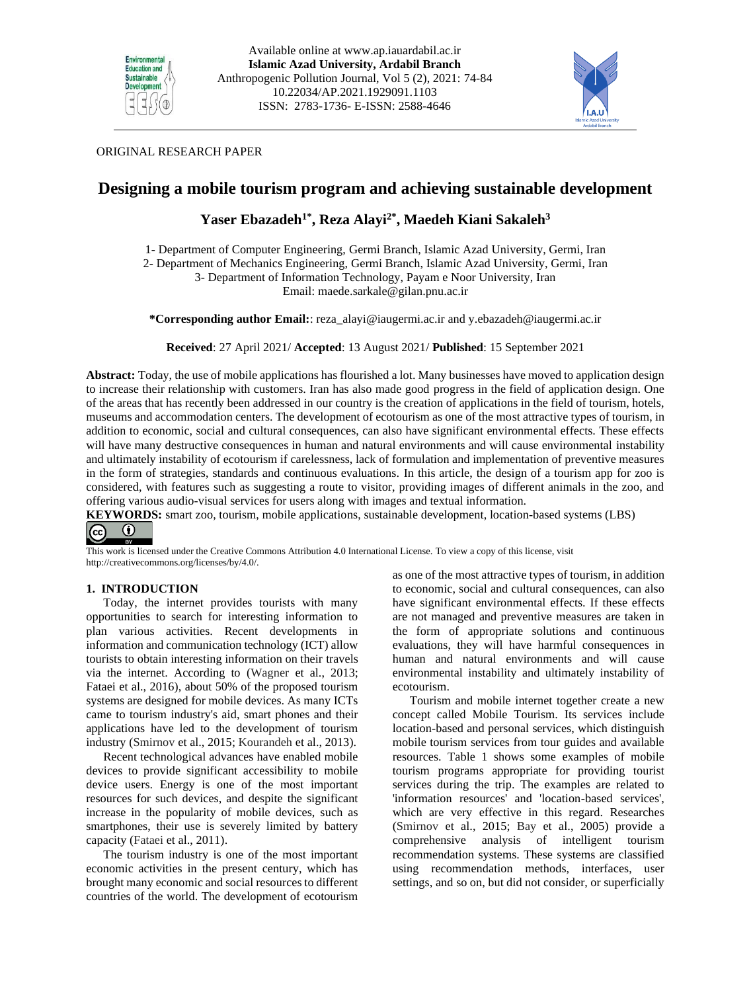



# ORIGINAL RESEARCH PAPER

# **Designing a mobile tourism program and achieving sustainable development**

# **Yaser Ebazadeh1\* , Reza Alayi2\* , Maedeh Kiani Sakaleh<sup>3</sup>**

1- Department of Computer Engineering, Germi Branch, Islamic Azad University, Germi, Iran

2- Department of Mechanics Engineering, Germi Branch, Islamic Azad University, Germi, Iran

3- Department of Information Technology, Payam e Noor University, Iran

Email: [maede.sarkale@gilan.pnu.ac.ir](mailto:maede.sarkale@gilan.pnu.ac.ir)

**\*Corresponding author Email:**: [reza\\_alayi@iaugermi.ac.ir](mailto:reza_alayi@iaugermi.ac.ir) and y.ebazadeh@iaugermi.ac.ir

**Received**: 27 April 2021/ **Accepted**: 13 August 2021/ **Published**: 15 September 2021

**Abstract:** Today, the use of mobile applications has flourished a lot. Many businesses have moved to application design to increase their relationship with customers. Iran has also made good progress in the field of application design. One of the areas that has recently been addressed in our country is the creation of applications in the field of tourism, hotels, museums and accommodation centers. The development of ecotourism as one of the most attractive types of tourism, in addition to economic, social and cultural consequences, can also have significant environmental effects. These effects will have many destructive consequences in human and natural environments and will cause environmental instability and ultimately instability of ecotourism if carelessness, lack of formulation and implementation of preventive measures in the form of strategies, standards and continuous evaluations. In this article, the design of a tourism app for zoo is considered, with features such as suggesting a route to visitor, providing images of different animals in the zoo, and offering various audio-visual services for users along with images and textual information.

**KEYWORDS:** smart zoo, tourism, mobile applications, sustainable development, location-based systems (LBS)  $\odot$  $|$ (cc)

This work is licensed under the Creative Commons Attribution 4.0 International License. To view a copy of this license, visit http://creativecommons.org/licenses/by/4.0/.

## **1. INTRODUCTION**

Today, the internet provides tourists with many opportunities to search for interesting information to plan various activities. Recent developments in information and communication technology (ICT) allow tourists to obtain interesting information on their travels via the internet. According to (Wagner et al., 2013; Fataei et al., 2016), about 50% of the proposed tourism systems are designed for mobile devices. As many ICTs came to tourism industry's aid, smart phones and their applications have led to the development of tourism industry (Smirnov et al., 2015; Kourandeh et al., 2013).

Recent technological advances have enabled mobile devices to provide significant accessibility to mobile device users. Energy is one of the most important resources for such devices, and despite the significant increase in the popularity of mobile devices, such as smartphones, their use is severely limited by battery capacity (Fataei et al., 2011).

The tourism industry is one of the most important economic activities in the present century, which has brought many economic and social resources to different countries of the world. The development of ecotourism

as one of the most attractive types of tourism, in addition to economic, social and cultural consequences, can also have significant environmental effects. If these effects are not managed and preventive measures are taken in the form of appropriate solutions and continuous evaluations, they will have harmful consequences in human and natural environments and will cause environmental instability and ultimately instability of ecotourism.

Tourism and mobile internet together create a new concept called Mobile Tourism. Its services include location-based and personal services, which distinguish mobile tourism services from tour guides and available resources. Table 1 shows some examples of mobile tourism programs appropriate for providing tourist services during the trip. The examples are related to 'information resources' and 'location-based services', which are very effective in this regard. Researches (Smirnov et al., 2015; Bay et al., 2005) provide a comprehensive analysis of intelligent tourism recommendation systems. These systems are classified using recommendation methods, interfaces, user settings, and so on, but did not consider, or superficially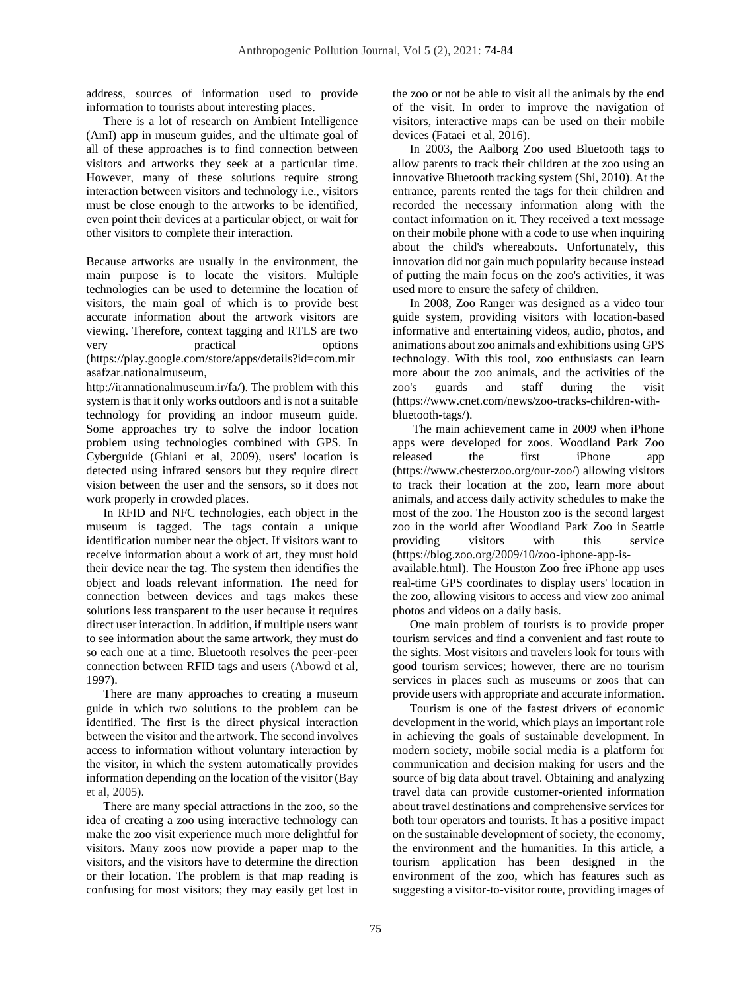address, sources of information used to provide information to tourists about interesting places.

There is a lot of research on Ambient Intelligence (AmI) app in museum guides, and the ultimate goal of all of these approaches is to find connection between visitors and artworks they seek at a particular time. However, many of these solutions require strong interaction between visitors and technology i.e., visitors must be close enough to the artworks to be identified, even point their devices at a particular object, or wait for other visitors to complete their interaction.

Because artworks are usually in the environment, the main purpose is to locate the visitors. Multiple technologies can be used to determine the location of visitors, the main goal of which is to provide best accurate information about the artwork visitors are viewing. Therefore, context tagging and RTLS are two very practical options [\(https://play.google.com/store/apps/details?id=com.mir](https://play.google.com/store/apps/details?id=com.mirasafzar.nationalmuseum) [asafzar.nationalmuseum,](https://play.google.com/store/apps/details?id=com.mirasafzar.nationalmuseum)

[http://irannationalmuseum.ir/fa/\)](http://irannationalmuseum.ir/fa/). The problem with this system is that it only works outdoors and is not a suitable technology for providing an indoor museum guide. Some approaches try to solve the indoor location problem using technologies combined with GPS. In Cyberguide (Ghiani et al, 2009), users' location is detected using infrared sensors but they require direct vision between the user and the sensors, so it does not work properly in crowded places.

In RFID and NFC technologies, each object in the museum is tagged. The tags contain a unique identification number near the object. If visitors want to receive information about a work of art, they must hold their device near the tag. The system then identifies the object and loads relevant information. The need for connection between devices and tags makes these solutions less transparent to the user because it requires direct user interaction. In addition, if multiple users want to see information about the same artwork, they must do so each one at a time. Bluetooth resolves the peer-peer connection between RFID tags and users (Abowd et al, 1997).

There are many approaches to creating a museum guide in which two solutions to the problem can be identified. The first is the direct physical interaction between the visitor and the artwork. The second involves access to information without voluntary interaction by the visitor, in which the system automatically provides information depending on the location of the visitor (Bay et al, 2005).

There are many special attractions in the zoo, so the idea of creating a zoo using interactive technology can make the zoo visit experience much more delightful for visitors. Many zoos now provide a paper map to the visitors, and the visitors have to determine the direction or their location. The problem is that map reading is confusing for most visitors; they may easily get lost in

the zoo or not be able to visit all the animals by the end of the visit. In order to improve the navigation of visitors, interactive maps can be used on their mobile devices (Fataei et al, 2016).

In 2003, the Aalborg Zoo used Bluetooth tags to allow parents to track their children at the zoo using an innovative Bluetooth tracking system (Shi, 2010). At the entrance, parents rented the tags for their children and recorded the necessary information along with the contact information on it. They received a text message on their mobile phone with a code to use when inquiring about the child's whereabouts. Unfortunately, this innovation did not gain much popularity because instead of putting the main focus on the zoo's activities, it was used more to ensure the safety of children.

In 2008, Zoo Ranger was designed as a video tour guide system, providing visitors with location-based informative and entertaining videos, audio, photos, and animations about zoo animals and exhibitions using GPS technology. With this tool, zoo enthusiasts can learn more about the zoo animals, and the activities of the zoo's guards and staff during the visit [\(https://www.cnet.com/news/zoo-tracks-children-with](https://www.cnet.com/news/zoo-tracks-children-with-bluetooth-tags/)[bluetooth-tags/\)](https://www.cnet.com/news/zoo-tracks-children-with-bluetooth-tags/).

The main achievement came in 2009 when iPhone apps were developed for zoos. Woodland Park Zoo released the first iPhone app [\(https://www.chesterzoo.org/our-zoo/\)](https://www.chesterzoo.org/our-zoo/) allowing visitors to track their location at the zoo, learn more about animals, and access daily activity schedules to make the most of the zoo. The Houston zoo is the second largest zoo in the world after Woodland Park Zoo in Seattle providing visitors with this service [\(https://blog.zoo.org/2009/10/zoo-iphone-app-is](https://blog.zoo.org/2009/10/zoo-iphone-app-is-available.html)[available.html\)](https://blog.zoo.org/2009/10/zoo-iphone-app-is-available.html). The Houston Zoo free iPhone app uses real-time GPS coordinates to display users' location in the zoo, allowing visitors to access and view zoo animal photos and videos on a daily basis.

One main problem of tourists is to provide proper tourism services and find a convenient and fast route to the sights. Most visitors and travelers look for tours with good tourism services; however, there are no tourism services in places such as museums or zoos that can provide users with appropriate and accurate information.

Tourism is one of the fastest drivers of economic development in the world, which plays an important role in achieving the goals of sustainable development. In modern society, mobile social media is a platform for communication and decision making for users and the source of big data about travel. Obtaining and analyzing travel data can provide customer-oriented information about travel destinations and comprehensive services for both tour operators and tourists. It has a positive impact on the sustainable development of society, the economy, the environment and the humanities. In this article, a tourism application has been designed in the environment of the zoo, which has features such as suggesting a visitor-to-visitor route, providing images of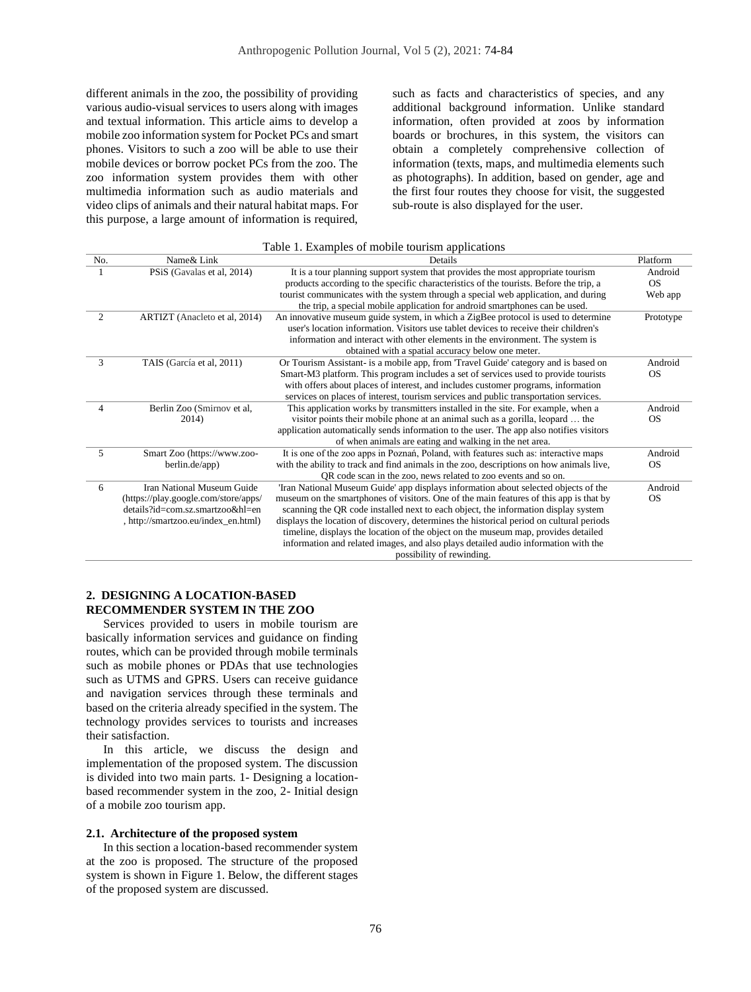different animals in the zoo, the possibility of providing various audio-visual services to users along with images and textual information. This article aims to develop a mobile zoo information system for Pocket PCs and smart phones. Visitors to such a zoo will be able to use their mobile devices or borrow pocket PCs from the zoo. The zoo information system provides them with other multimedia information such as audio materials and video clips of animals and their natural habitat maps. For this purpose, a large amount of information is required, such as facts and characteristics of species, and any additional background information. Unlike standard information, often provided at zoos by information boards or brochures, in this system, the visitors can obtain a completely comprehensive collection of information (texts, maps, and multimedia elements such as photographs). In addition, based on gender, age and the first four routes they choose for visit, the suggested sub-route is also displayed for the user.

### Table 1. Examples of mobile tourism applications

| No. | Name& Link                           | Details                                                                                  | Platform  |
|-----|--------------------------------------|------------------------------------------------------------------------------------------|-----------|
|     | PSiS (Gavalas et al, 2014)           | It is a tour planning support system that provides the most appropriate tourism          | Android   |
|     |                                      | products according to the specific characteristics of the tourists. Before the trip, a   | <b>OS</b> |
|     |                                      | tourist communicates with the system through a special web application, and during       | Web app   |
|     |                                      | the trip, a special mobile application for android smartphones can be used.              |           |
| 2   | ARTIZT (Anacleto et al, 2014)        | An innovative museum guide system, in which a ZigBee protocol is used to determine       | Prototype |
|     |                                      | user's location information. Visitors use tablet devices to receive their children's     |           |
|     |                                      | information and interact with other elements in the environment. The system is           |           |
|     |                                      | obtained with a spatial accuracy below one meter.                                        |           |
| 3   | TAIS (García et al, 2011)            | Or Tourism Assistant- is a mobile app, from 'Travel Guide' category and is based on      | Android   |
|     |                                      | Smart-M3 platform. This program includes a set of services used to provide tourists      | <b>OS</b> |
|     |                                      | with offers about places of interest, and includes customer programs, information        |           |
|     |                                      | services on places of interest, tourism services and public transportation services.     |           |
| 4   | Berlin Zoo (Smirnov et al,           | This application works by transmitters installed in the site. For example, when a        | Android   |
|     | 2014)                                | visitor points their mobile phone at an animal such as a gorilla, leopard  the           | <b>OS</b> |
|     |                                      | application automatically sends information to the user. The app also notifies visitors  |           |
|     |                                      | of when animals are eating and walking in the net area.                                  |           |
| 5   | Smart Zoo (https://www.zoo-          | It is one of the zoo apps in Poznań, Poland, with features such as: interactive maps     | Android   |
|     | berlin.de/app)                       | with the ability to track and find animals in the zoo, descriptions on how animals live, | <b>OS</b> |
|     |                                      | QR code scan in the zoo, news related to zoo events and so on.                           |           |
| 6   | Iran National Museum Guide           | Tran National Museum Guide' app displays information about selected objects of the       | Android   |
|     | (https://play.google.com/store/apps/ | museum on the smartphones of visitors. One of the main features of this app is that by   | <b>OS</b> |
|     | $details?id=com.sz.martzoo&h=en$     | scanning the QR code installed next to each object, the information display system       |           |
|     | , http://smartzoo.eu/index_en.html)  | displays the location of discovery, determines the historical period on cultural periods |           |
|     |                                      | timeline, displays the location of the object on the museum map, provides detailed       |           |
|     |                                      | information and related images, and also plays detailed audio information with the       |           |
|     |                                      | possibility of rewinding.                                                                |           |

# **2. DESIGNING A LOCATION-BASED RECOMMENDER SYSTEM IN THE ZOO**

Services provided to users in mobile tourism are basically information services and guidance on finding routes, which can be provided through mobile terminals such as mobile phones or PDAs that use technologies such as UTMS and GPRS. Users can receive guidance and navigation services through these terminals and based on the criteria already specified in the system. The technology provides services to tourists and increases their satisfaction.

In this article, we discuss the design and implementation of the proposed system. The discussion is divided into two main parts. 1- Designing a locationbased recommender system in the zoo, 2- Initial design of a mobile zoo tourism app.

#### **2.1. Architecture of the proposed system**

In this section a location-based recommender system at the zoo is proposed. The structure of the proposed system is shown in Figure 1. Below, the different stages of the proposed system are discussed.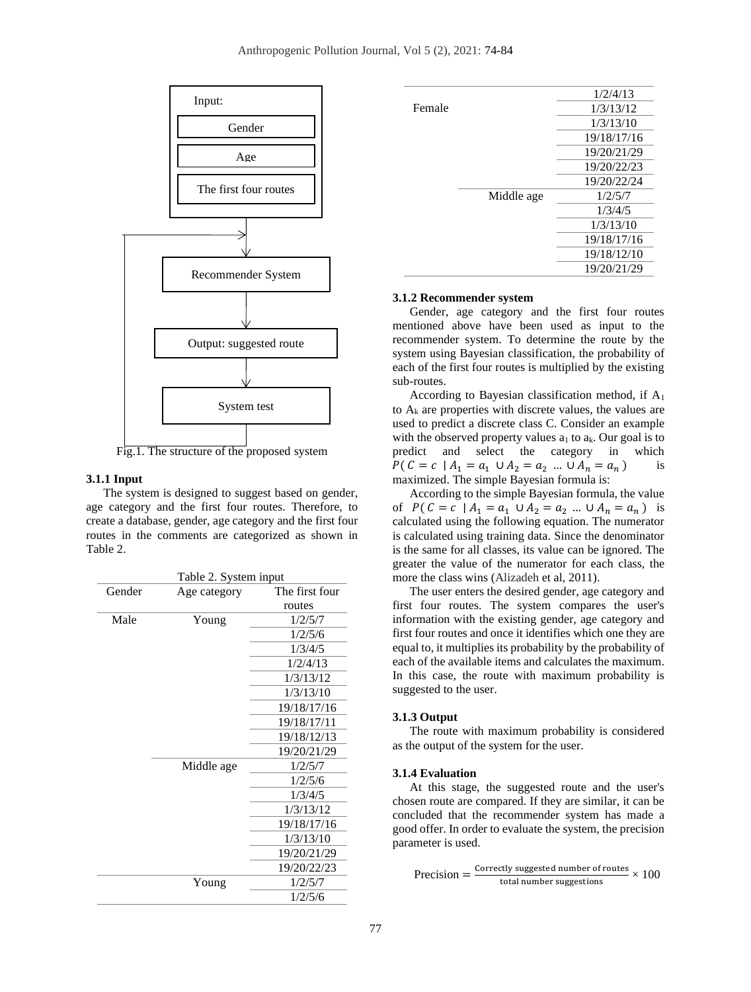

Fig.1. The structure of the proposed system

## **3.1.1 Input**

The system is designed to suggest based on gender, age category and the first four routes. Therefore, to create a database, gender, age category and the first four routes in the comments are categorized as shown in Table 2.

|        | Table 2. System input |                |  |  |  |  |
|--------|-----------------------|----------------|--|--|--|--|
| Gender | Age category          | The first four |  |  |  |  |
|        |                       | routes         |  |  |  |  |
| Male   | Young                 | 1/2/5/7        |  |  |  |  |
|        |                       | 1/2/5/6        |  |  |  |  |
|        |                       | 1/3/4/5        |  |  |  |  |
|        |                       | 1/2/4/13       |  |  |  |  |
|        |                       | 1/3/13/12      |  |  |  |  |
|        |                       | 1/3/13/10      |  |  |  |  |
|        |                       | 19/18/17/16    |  |  |  |  |
|        |                       | 19/18/17/11    |  |  |  |  |
|        |                       | 19/18/12/13    |  |  |  |  |
|        |                       | 19/20/21/29    |  |  |  |  |
|        | Middle age            | 1/2/5/7        |  |  |  |  |
|        |                       | 1/2/5/6        |  |  |  |  |
|        |                       | 1/3/4/5        |  |  |  |  |
|        |                       | 1/3/13/12      |  |  |  |  |
|        |                       | 19/18/17/16    |  |  |  |  |
|        |                       | 1/3/13/10      |  |  |  |  |
|        |                       | 19/20/21/29    |  |  |  |  |
|        |                       | 19/20/22/23    |  |  |  |  |
|        | Young                 | 1/2/5/7        |  |  |  |  |
|        |                       | 1/2/5/6        |  |  |  |  |

|        |            | 1/2/4/13    |
|--------|------------|-------------|
| Female |            | 1/3/13/12   |
|        |            | 1/3/13/10   |
|        |            | 19/18/17/16 |
|        |            | 19/20/21/29 |
|        |            | 19/20/22/23 |
|        |            | 19/20/22/24 |
|        | Middle age | 1/2/5/7     |
|        |            | 1/3/4/5     |
|        |            | 1/3/13/10   |
|        |            | 19/18/17/16 |
|        |            | 19/18/12/10 |
|        |            | 19/20/21/29 |

#### **3.1.2 Recommender system**

Gender, age category and the first four routes mentioned above have been used as input to the recommender system. To determine the route by the system using Bayesian classification, the probability of each of the first four routes is multiplied by the existing sub-routes.

According to Bayesian classification method, if  $A_1$ to  $A_k$  are properties with discrete values, the values are used to predict a discrete class C. Consider an example with the observed property values  $a_1$  to  $a_k$ . Our goal is to predict and select the category in which  $P(C = c \mid A_1 = a_1 \cup A_2 = a_2 \dots \cup A_n = a_n)$ ) is maximized. The simple Bayesian formula is:

According to the simple Bayesian formula, the value of  $P(C = c | A_1 = a_1 \cup A_2 = a_2 \dots \cup A_n = a_n)$  is calculated using the following equation. The numerator is calculated using training data. Since the denominator is the same for all classes, its value can be ignored. The greater the value of the numerator for each class, the more the class wins (Alizadeh et al, 2011).

The user enters the desired gender, age category and first four routes. The system compares the user's information with the existing gender, age category and first four routes and once it identifies which one they are equal to, it multiplies its probability by the probability of each of the available items and calculates the maximum. In this case, the route with maximum probability is suggested to the user.

#### **3.1.3 Output**

The route with maximum probability is considered as the output of the system for the user.

#### **3.1.4 Evaluation**

At this stage, the suggested route and the user's chosen route are compared. If they are similar, it can be concluded that the recommender system has made a good offer. In order to evaluate the system, the precision parameter is used.

$$
Precision = \frac{Correctly suggested number of routes}{total number suggestions} \times 100
$$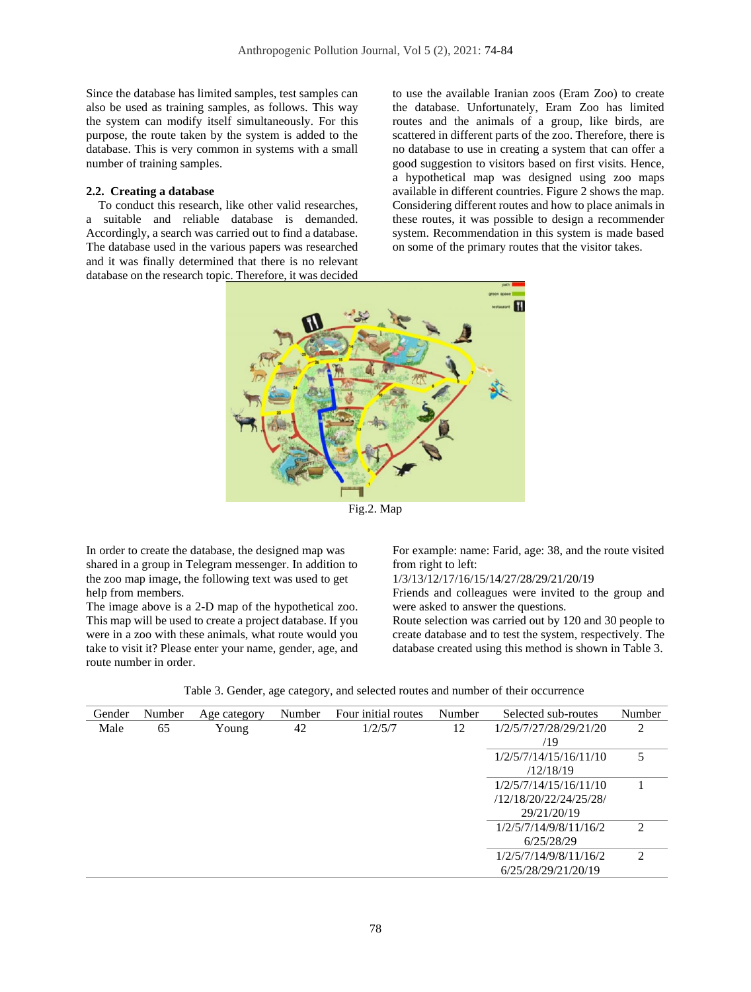Since the database has limited samples, test samples can also be used as training samples, as follows. This way the system can modify itself simultaneously. For this purpose, the route taken by the system is added to the database. This is very common in systems with a small number of training samples.

#### **2.2. Creating a database**

 To conduct this research, like other valid researches, a suitable and reliable database is demanded. Accordingly, a search was carried out to find a database. The database used in the various papers was researched and it was finally determined that there is no relevant database on the research topic. Therefore, it was decided to use the available Iranian zoos (Eram Zoo) to create the database. Unfortunately, Eram Zoo has limited routes and the animals of a group, like birds, are scattered in different parts of the zoo. Therefore, there is no database to use in creating a system that can offer a good suggestion to visitors based on first visits. Hence, a hypothetical map was designed using zoo maps available in different countries. Figure 2 shows the map. Considering different routes and how to place animals in these routes, it was possible to design a recommender system. Recommendation in this system is made based on some of the primary routes that the visitor takes.



Fig.2. Map

In order to create the database, the designed map was shared in a group in Telegram messenger. In addition to the zoo map image, the following text was used to get help from members.

The image above is a 2-D map of the hypothetical zoo. This map will be used to create a project database. If you were in a zoo with these animals, what route would you take to visit it? Please enter your name, gender, age, and route number in order.

For example: name: Farid, age: 38, and the route visited from right to left:

1/3/13/12/17/16/15/14/27/28/29/21/20/19

Friends and colleagues were invited to the group and were asked to answer the questions.

Route selection was carried out by 120 and 30 people to create database and to test the system, respectively. The database created using this method is shown in Table 3.

|  |  |  | Table 3. Gender, age category, and selected routes and number of their occurrence |  |  |  |  |  |  |  |
|--|--|--|-----------------------------------------------------------------------------------|--|--|--|--|--|--|--|
|--|--|--|-----------------------------------------------------------------------------------|--|--|--|--|--|--|--|

| Gender | Number | Age category | Number | Four initial routes | Number | Selected sub-routes    | Number         |
|--------|--------|--------------|--------|---------------------|--------|------------------------|----------------|
| Male   | 65     | Young        | 42     | 1/2/5/7             | 12     | 1/2/5/7/27/28/29/21/20 | 2              |
|        |        |              |        |                     |        | /19                    |                |
|        |        |              |        |                     |        | 1/2/5/7/14/15/16/11/10 | 5              |
|        |        |              |        |                     |        | /12/18/19              |                |
|        |        |              |        |                     |        | 1/2/5/7/14/15/16/11/10 |                |
|        |        |              |        |                     |        | /12/18/20/22/24/25/28/ |                |
|        |        |              |        |                     |        | 29/21/20/19            |                |
|        |        |              |        |                     |        | 1/2/5/7/14/9/8/11/16/2 | $\mathfrak{D}$ |
|        |        |              |        |                     |        | 6/25/28/29             |                |
|        |        |              |        |                     |        | 1/2/5/7/14/9/8/11/16/2 | $\mathfrak{D}$ |
|        |        |              |        |                     |        | 6/25/28/29/21/20/19    |                |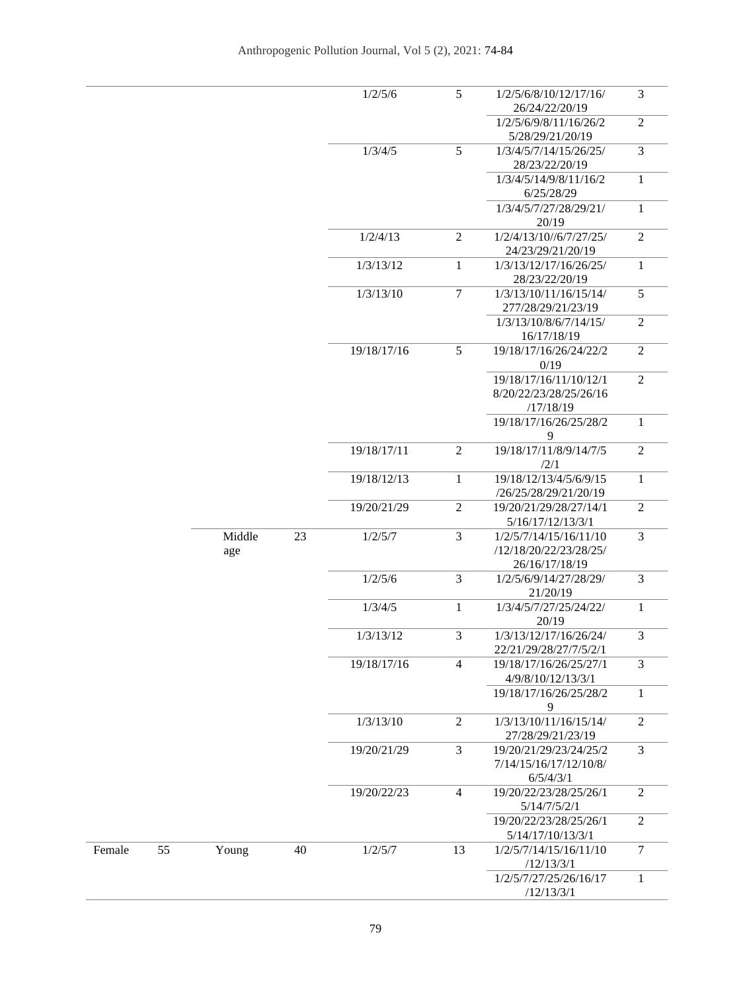|        |    |               |    | 1/2/5/6     | 5              | 1/2/5/6/8/10/12/17/16/<br>26/24/22/20/19                           | 3              |
|--------|----|---------------|----|-------------|----------------|--------------------------------------------------------------------|----------------|
|        |    |               |    |             |                | 1/2/5/6/9/8/11/16/26/2<br>5/28/29/21/20/19                         | $\overline{2}$ |
|        |    |               |    | 1/3/4/5     | 5              | 1/3/4/5/7/14/15/26/25/<br>28/23/22/20/19                           | 3              |
|        |    |               |    |             |                | 1/3/4/5/14/9/8/11/16/2<br>6/25/28/29                               | 1              |
|        |    |               |    |             |                | 1/3/4/5/7/27/28/29/21/<br>20/19                                    | $\mathbf{1}$   |
|        |    |               |    | 1/2/4/13    | $\overline{2}$ | 1/2/4/13/10//6/7/27/25/<br>24/23/29/21/20/19                       | $\overline{2}$ |
|        |    |               |    | 1/3/13/12   | $\mathbf{1}$   | 1/3/13/12/17/16/26/25/<br>28/23/22/20/19                           | $\mathbf{1}$   |
|        |    |               |    | 1/3/13/10   | $\overline{7}$ | 1/3/13/10/11/16/15/14/<br>277/28/29/21/23/19                       | 5              |
|        |    |               |    |             |                | 1/3/13/10/8/6/7/14/15/<br>16/17/18/19                              | $\overline{2}$ |
|        |    |               |    | 19/18/17/16 | 5              | 19/18/17/16/26/24/22/2<br>0/19                                     | $\overline{2}$ |
|        |    |               |    |             |                | 19/18/17/16/11/10/12/1<br>8/20/22/23/28/25/26/16<br>/17/18/19      | $\overline{2}$ |
|        |    |               |    |             |                | 19/18/17/16/26/25/28/2<br>9                                        | $\mathbf{1}$   |
|        |    |               |    | 19/18/17/11 | $\overline{2}$ | 19/18/17/11/8/9/14/7/5<br>/2/1                                     | $\overline{2}$ |
|        |    |               |    | 19/18/12/13 | $\mathbf{1}$   | 19/18/12/13/4/5/6/9/15<br>/26/25/28/29/21/20/19                    | $\mathbf{1}$   |
|        |    |               |    | 19/20/21/29 | $\overline{2}$ | 19/20/21/29/28/27/14/1<br>5/16/17/12/13/3/1                        | $\overline{2}$ |
|        |    | Middle<br>age | 23 | 1/2/5/7     | 3              | 1/2/5/7/14/15/16/11/10<br>/12/18/20/22/23/28/25/<br>26/16/17/18/19 | 3              |
|        |    |               |    | 1/2/5/6     | 3              | 1/2/5/6/9/14/27/28/29/<br>21/20/19                                 | 3              |
|        |    |               |    | 1/3/4/5     | $\mathbf{1}$   | 1/3/4/5/7/27/25/24/22/<br>20/19                                    | $\mathbf{1}$   |
|        |    |               |    | 1/3/13/12   | 3              | 1/3/13/12/17/16/26/24/<br>22/21/29/28/27/7/5/2/1                   | 3              |
|        |    |               |    | 19/18/17/16 | $\overline{4}$ | 19/18/17/16/26/25/27/1<br>4/9/8/10/12/13/3/1                       | 3              |
|        |    |               |    |             |                | 19/18/17/16/26/25/28/2<br>9                                        | $\mathbf{1}$   |
|        |    |               |    | 1/3/13/10   | $\overline{2}$ | 1/3/13/10/11/16/15/14/<br>27/28/29/21/23/19                        | $\overline{2}$ |
|        |    |               |    | 19/20/21/29 | 3              | 19/20/21/29/23/24/25/2<br>7/14/15/16/17/12/10/8/<br>6/5/4/3/1      | $\overline{3}$ |
|        |    |               |    | 19/20/22/23 | $\overline{4}$ | 19/20/22/23/28/25/26/1<br>5/14/7/5/2/1                             | $\overline{2}$ |
|        |    |               |    |             |                | 19/20/22/23/28/25/26/1<br>5/14/17/10/13/3/1                        | $\overline{2}$ |
| Female | 55 | Young         | 40 | 1/2/5/7     | 13             | 1/2/5/7/14/15/16/11/10<br>/12/13/3/1                               | $\overline{7}$ |
|        |    |               |    |             |                | 1/2/5/7/27/25/26/16/17<br>/12/13/3/1                               | $\mathbf{1}$   |
|        |    |               |    |             |                |                                                                    |                |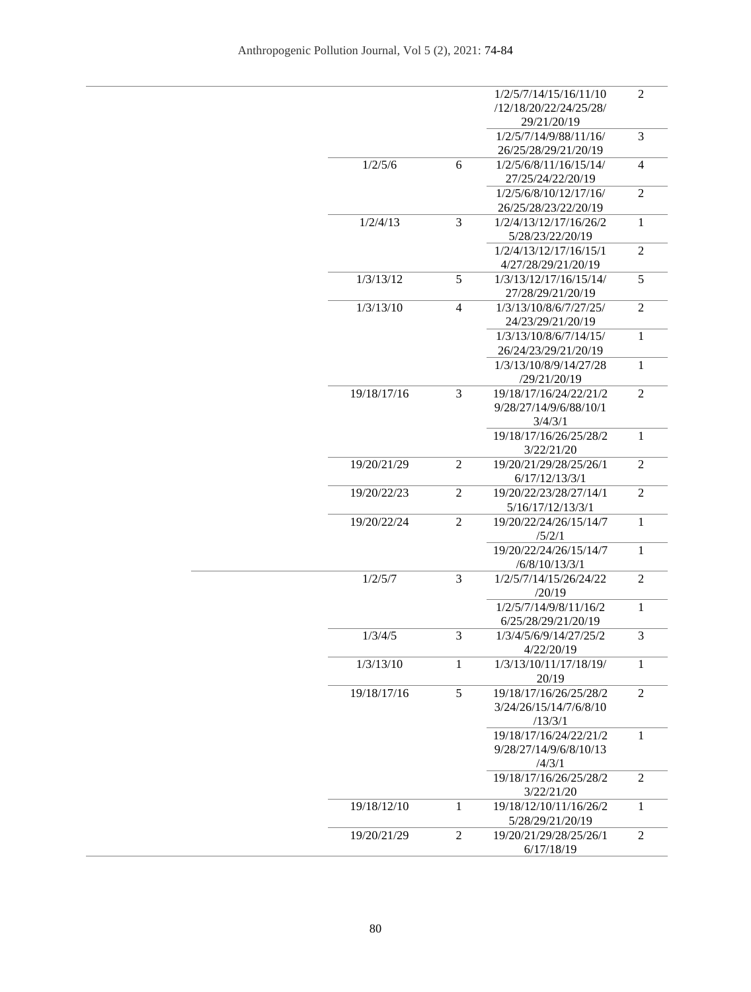|             |                | 1/2/5/7/14/15/16/11/10 | 2              |
|-------------|----------------|------------------------|----------------|
|             |                | /12/18/20/22/24/25/28/ |                |
|             |                | 29/21/20/19            |                |
|             |                | 1/2/5/7/14/9/88/11/16/ | 3              |
|             |                | 26/25/28/29/21/20/19   |                |
| 1/2/5/6     | 6              | 1/2/5/6/8/11/16/15/14/ | 4              |
|             |                | 27/25/24/22/20/19      |                |
|             |                | 1/2/5/6/8/10/12/17/16/ | $\overline{2}$ |
|             |                | 26/25/28/23/22/20/19   |                |
| 1/2/4/13    | 3              | 1/2/4/13/12/17/16/26/2 | $\mathbf{1}$   |
|             |                | 5/28/23/22/20/19       |                |
|             |                | 1/2/4/13/12/17/16/15/1 | 2              |
|             |                |                        |                |
|             |                | 4/27/28/29/21/20/19    |                |
| 1/3/13/12   | 5              | 1/3/13/12/17/16/15/14/ | 5              |
|             |                | 27/28/29/21/20/19      |                |
| 1/3/13/10   | 4              | 1/3/13/10/8/6/7/27/25/ | 2              |
|             |                | 24/23/29/21/20/19      |                |
|             |                | 1/3/13/10/8/6/7/14/15/ | $\mathbf{1}$   |
|             |                | 26/24/23/29/21/20/19   |                |
|             |                | 1/3/13/10/8/9/14/27/28 | 1              |
|             |                | /29/21/20/19           |                |
| 19/18/17/16 | 3              | 19/18/17/16/24/22/21/2 | $\overline{2}$ |
|             |                | 9/28/27/14/9/6/88/10/1 |                |
|             |                | 3/4/3/1                |                |
|             |                | 19/18/17/16/26/25/28/2 | $\mathbf{1}$   |
|             |                | 3/22/21/20             |                |
| 19/20/21/29 | $\overline{2}$ | 19/20/21/29/28/25/26/1 | $\overline{2}$ |
|             |                | 6/17/12/13/3/1         |                |
|             |                |                        |                |
| 19/20/22/23 | 2              | 19/20/22/23/28/27/14/1 | $\overline{2}$ |
|             |                | 5/16/17/12/13/3/1      |                |
| 19/20/22/24 | $\overline{2}$ | 19/20/22/24/26/15/14/7 | $\mathbf{1}$   |
|             |                | /5/2/1                 |                |
|             |                | 19/20/22/24/26/15/14/7 | $\mathbf{1}$   |
|             |                | /6/8/10/13/3/1         |                |
| 1/2/5/7     | 3              | 1/2/5/7/14/15/26/24/22 | 2              |
|             |                | /20/19                 |                |
|             |                | 1/2/5/7/14/9/8/11/16/2 | $\mathbf{1}$   |
|             |                | 6/25/28/29/21/20/19    |                |
| 1/3/4/5     | 3              | 1/3/4/5/6/9/14/27/25/2 | 3              |
|             |                | 4/22/20/19             |                |
| 1/3/13/10   | 1              | 1/3/13/10/11/17/18/19/ | $\mathbf{1}$   |
|             |                | 20/19                  |                |
| 19/18/17/16 | 5              | 19/18/17/16/26/25/28/2 | $\overline{2}$ |
|             |                | 3/24/26/15/14/7/6/8/10 |                |
|             |                | /13/3/1                |                |
|             |                | 19/18/17/16/24/22/21/2 | $\mathbf{1}$   |
|             |                |                        |                |
|             |                | 9/28/27/14/9/6/8/10/13 |                |
|             |                | /4/3/1                 |                |
|             |                | 19/18/17/16/26/25/28/2 | $\overline{2}$ |
|             |                | 3/22/21/20             |                |
| 19/18/12/10 | $\mathbf{1}$   | 19/18/12/10/11/16/26/2 | $\mathbf{1}$   |
|             |                | 5/28/29/21/20/19       |                |
| 19/20/21/29 | $\overline{2}$ | 19/20/21/29/28/25/26/1 | $\overline{2}$ |
|             |                | 6/17/18/19             |                |
|             |                |                        |                |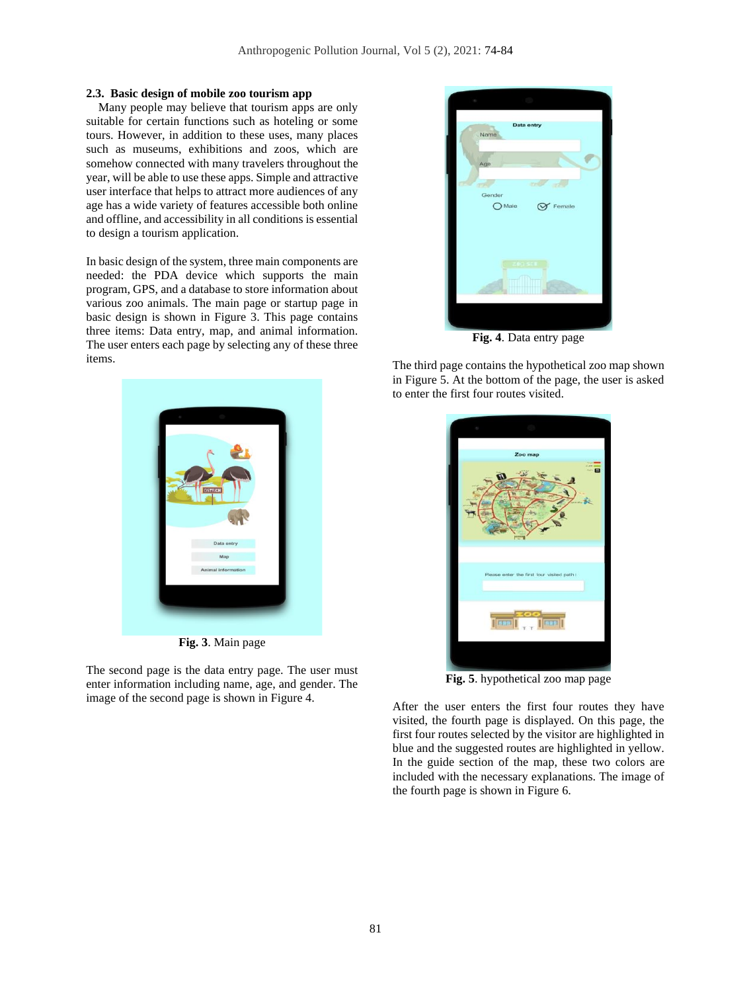#### **2.3. Basic design of mobile zoo tourism app**

 Many people may believe that tourism apps are only suitable for certain functions such as hoteling or some tours. However, in addition to these uses, many places such as museums, exhibitions and zoos, which are somehow connected with many travelers throughout the year, will be able to use these apps. Simple and attractive user interface that helps to attract more audiences of any age has a wide variety of features accessible both online and offline, and accessibility in all conditions is essential to design a tourism application.

In basic design of the system, three main components are needed: the PDA device which supports the main program, GPS, and a database to store information about various zoo animals. The main page or startup page in basic design is shown in Figure 3. This page contains three items: Data entry, map, and animal information. The user enters each page by selecting any of these three items.



**Fig. 3**. Main page

The second page is the data entry page. The user must enter information including name, age, and gender. The image of the second page is shown in Figure 4.



**Fig. 4**. Data entry page

The third page contains the hypothetical zoo map shown in Figure 5. At the bottom of the page, the user is asked to enter the first four routes visited.



**Fig. 5**. hypothetical zoo map page

After the user enters the first four routes they have visited, the fourth page is displayed. On this page, the first four routes selected by the visitor are highlighted in blue and the suggested routes are highlighted in yellow. In the guide section of the map, these two colors are included with the necessary explanations. The image of the fourth page is shown in Figure 6.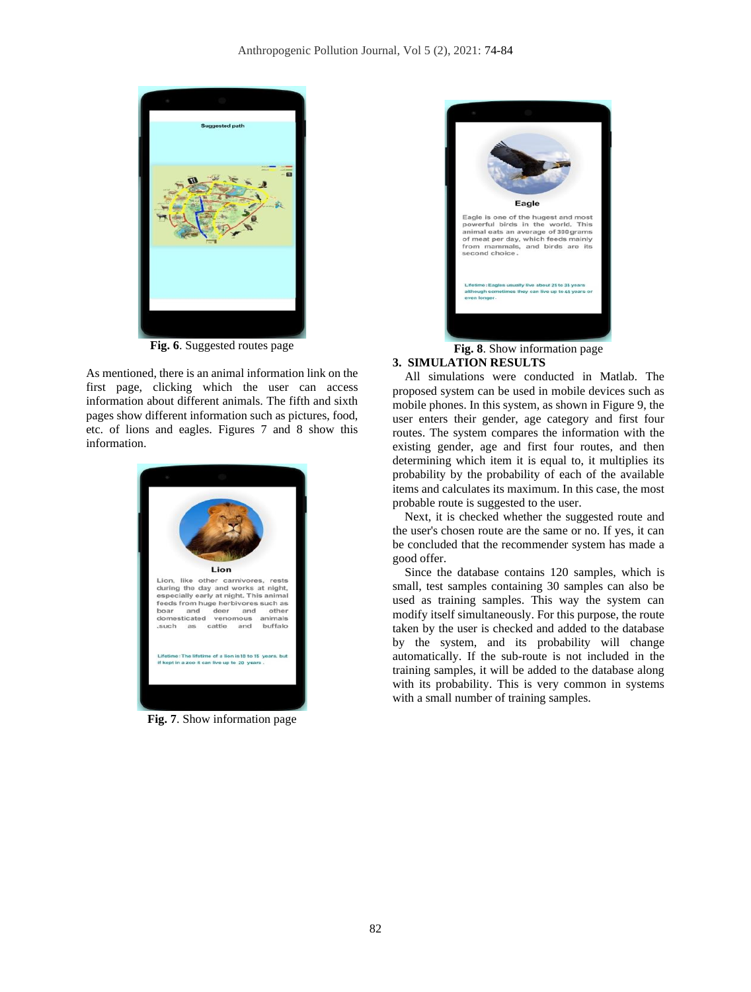

**Fig. 6**. Suggested routes page

As mentioned, there is an animal information link on the first page, clicking which the user can access information about different animals. The fifth and sixth pages show different information such as pictures, food, etc. of lions and eagles. Figures 7 and 8 show this information.



**Fig. 7**. Show information page



**Fig. 8**. Show information page

# **3. SIMULATION RESULTS**

 All simulations were conducted in Matlab. The proposed system can be used in mobile devices such as mobile phones. In this system, as shown in Figure 9, the user enters their gender, age category and first four routes. The system compares the information with the existing gender, age and first four routes, and then determining which item it is equal to, it multiplies its probability by the probability of each of the available items and calculates its maximum. In this case, the most probable route is suggested to the user.

 Next, it is checked whether the suggested route and the user's chosen route are the same or no. If yes, it can be concluded that the recommender system has made a good offer.

 Since the database contains 120 samples, which is small, test samples containing 30 samples can also be used as training samples. This way the system can modify itself simultaneously. For this purpose, the route taken by the user is checked and added to the database by the system, and its probability will change automatically. If the sub-route is not included in the training samples, it will be added to the database along with its probability. This is very common in systems with a small number of training samples.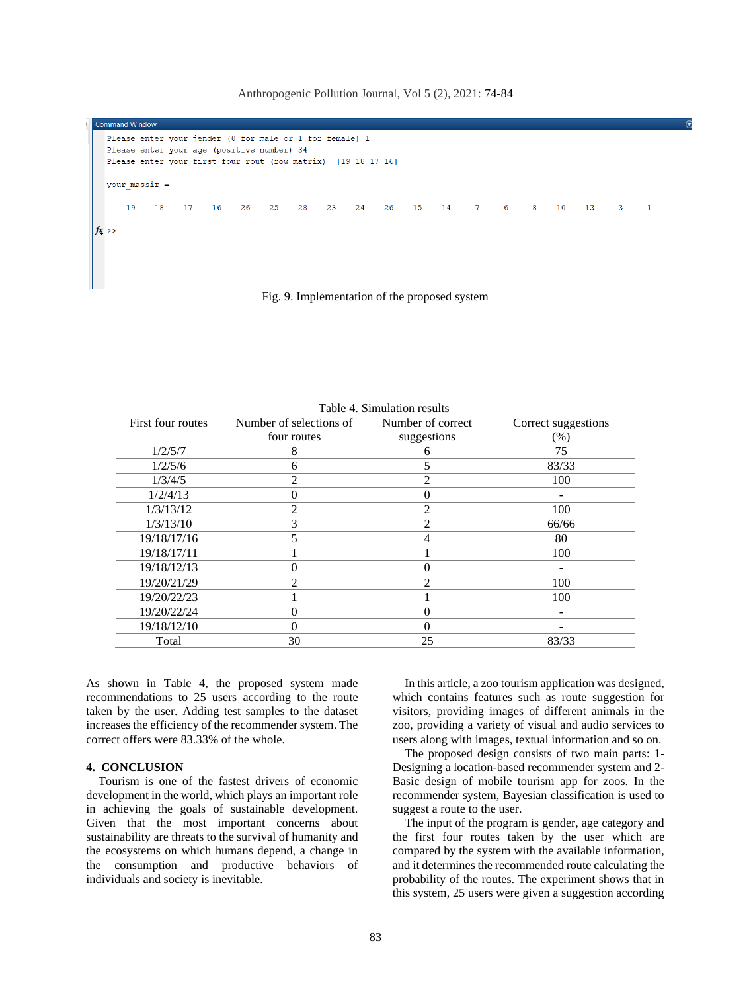Please enter your jender (0 for male or 1 for female) 1 Please enter your age (positive number) 34 Please enter your first four rout (row matrix) [19 18 17 16]  $your\_massir =$  $19$ 18  $17$  $16$  $26$  $25$  $28$  $23$  $24$  $26$ 15  $14$  $\overline{7}$ 6  $\mathbf{R}$  $10$  $13$  $\overline{3}$  $\mathbf{1}$  $fx \gg$ 

Anthropogenic Pollution Journal, Vol 5 (2), 2021: 74-84

Fig. 9. Implementation of the proposed system

| I able 4. Simulation results |                                           |                |                     |  |  |  |  |  |
|------------------------------|-------------------------------------------|----------------|---------------------|--|--|--|--|--|
| First four routes            | Number of selections of Number of correct |                | Correct suggestions |  |  |  |  |  |
|                              | four routes                               | suggestions    | (%)                 |  |  |  |  |  |
| 1/2/5/7                      | 8                                         | 6              | 75                  |  |  |  |  |  |
| 1/2/5/6                      | 6                                         |                | 83/33               |  |  |  |  |  |
| 1/3/4/5                      | 2                                         | $\mathfrak{D}$ | 100                 |  |  |  |  |  |
| 1/2/4/13                     | 0                                         | $_{0}$         |                     |  |  |  |  |  |
| 1/3/13/12                    | 2                                         | $\mathfrak{D}$ | 100                 |  |  |  |  |  |
| 1/3/13/10                    | 3                                         | $\mathfrak{D}$ | 66/66               |  |  |  |  |  |
| 19/18/17/16                  |                                           | 4              | 80                  |  |  |  |  |  |
| 19/18/17/11                  |                                           |                | 100                 |  |  |  |  |  |
| 19/18/12/13                  | O                                         |                |                     |  |  |  |  |  |
| 19/20/21/29                  | 2                                         | $\mathfrak{D}$ | 100                 |  |  |  |  |  |
| 19/20/22/23                  |                                           |                | 100                 |  |  |  |  |  |
| 19/20/22/24                  | 0                                         | $_{0}$         |                     |  |  |  |  |  |
| 19/18/12/10                  | 0                                         |                |                     |  |  |  |  |  |
| Total                        | 30                                        | 25             | 83/33               |  |  |  |  |  |

 $T_1$  and  $T_2$  and  $T_3$  and  $T_4$  and  $T_5$  and  $T_6$  is a simulation result.

As shown in Table 4, the proposed system made recommendations to 25 users according to the route taken by the user. Adding test samples to the dataset increases the efficiency of the recommender system. The correct offers were 83.33% of the whole.

### **4. CONCLUSION**

 Tourism is one of the fastest drivers of economic development in the world, which plays an important role in achieving the goals of sustainable development. Given that the most important concerns about sustainability are threats to the survival of humanity and the ecosystems on which humans depend, a change in the consumption and productive behaviors of individuals and society is inevitable.

 In this article, a zoo tourism application was designed, which contains features such as route suggestion for visitors, providing images of different animals in the zoo, providing a variety of visual and audio services to users along with images, textual information and so on.

 The proposed design consists of two main parts: 1- Designing a location-based recommender system and 2- Basic design of mobile tourism app for zoos. In the recommender system, Bayesian classification is used to suggest a route to the user.

 The input of the program is gender, age category and the first four routes taken by the user which are compared by the system with the available information, and it determines the recommended route calculating the probability of the routes. The experiment shows that in this system, 25 users were given a suggestion according